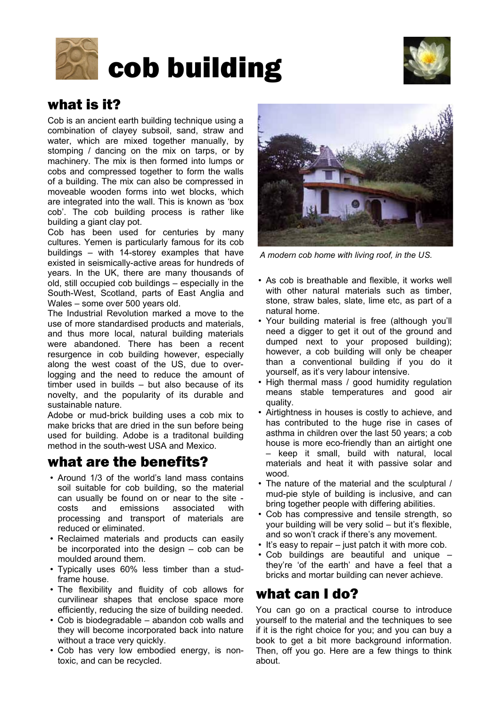



# what is it?

Cob is an ancient earth building technique using a combination of clayey subsoil, sand, straw and water, which are mixed together manually, by stomping / dancing on the mix on tarps, or by machinery. The mix is then formed into lumps or cobs and compressed together to form the walls of a building. The mix can also be compressed in moveable wooden forms into wet blocks, which are integrated into the wall. This is known as 'box cob'. The cob building process is rather like building a giant clay pot.

Cob has been used for centuries by many cultures. Yemen is particularly famous for its cob buildings – with 14-storey examples that have existed in seismically-active areas for hundreds of years. In the UK, there are many thousands of old, still occupied cob buildings – especially in the South-West, Scotland, parts of East Anglia and Wales – some over 500 years old.

The Industrial Revolution marked a move to the use of more standardised products and materials, and thus more local, natural building materials were abandoned. There has been a recent resurgence in cob building however, especially along the west coast of the US, due to overlogging and the need to reduce the amount of timber used in builds – but also because of its novelty, and the popularity of its durable and sustainable nature.

Adobe or mud-brick building uses a cob mix to make bricks that are dried in the sun before being used for building. Adobe is a traditonal building method in the south-west USA and Mexico.

# what are the benefits?

- Around 1/3 of the world's land mass contains soil suitable for cob building, so the material can usually be found on or near to the site costs and emissions associated with processing and transport of materials are reduced or eliminated.
- Reclaimed materials and products can easily be incorporated into the design – cob can be moulded around them.
- Typically uses 60% less timber than a studframe house.
- The flexibility and fluidity of cob allows for curvilinear shapes that enclose space more efficiently, reducing the size of building needed.
- Cob is biodegradable abandon cob walls and they will become incorporated back into nature without a trace very quickly.
- Cob has very low embodied energy, is nontoxic, and can be recycled.



*A modern cob home with living roof, in the US.*

- As cob is breathable and flexible, it works well with other natural materials such as timber, stone, straw bales, slate, lime etc, as part of a natural home.
- Your building material is free (although you'll need a digger to get it out of the ground and dumped next to your proposed building); however, a cob building will only be cheaper than a conventional building if you do it yourself, as it's very labour intensive.
- High thermal mass / good humidity regulation means stable temperatures and good air quality.
- Airtightness in houses is costly to achieve, and has contributed to the huge rise in cases of asthma in children over the last 50 years; a cob house is more eco-friendly than an airtight one – keep it small, build with natural, local materials and heat it with passive solar and wood.
- The nature of the material and the sculptural / mud-pie style of building is inclusive, and can bring together people with differing abilities.
- Cob has compressive and tensile strength, so your building will be very solid – but it's flexible, and so won't crack if there's any movement.
- It's easy to repair just patch it with more cob.
- Cob buildings are beautiful and unique they're 'of the earth' and have a feel that a bricks and mortar building can never achieve.

# what can I do?

You can go on a practical course to introduce yourself to the material and the techniques to see if it is the right choice for you; and you can buy a book to get a bit more background information. Then, off you go. Here are a few things to think about.